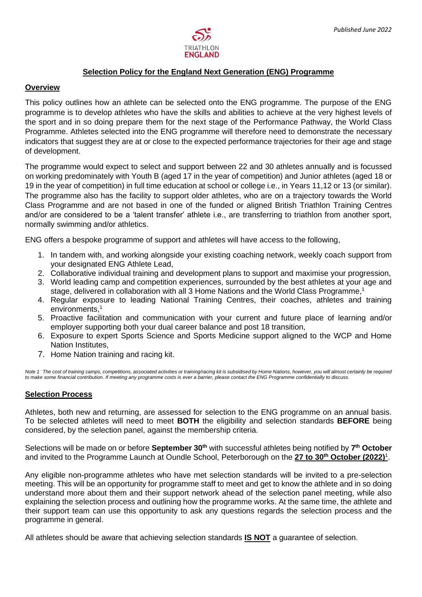

# **Selection Policy for the England Next Generation (ENG) Programme**

## **Overview**

This policy outlines how an athlete can be selected onto the ENG programme. The purpose of the ENG programme is to develop athletes who have the skills and abilities to achieve at the very highest levels of the sport and in so doing prepare them for the next stage of the Performance Pathway, the World Class Programme. Athletes selected into the ENG programme will therefore need to demonstrate the necessary indicators that suggest they are at or close to the expected performance trajectories for their age and stage of development.

The programme would expect to select and support between 22 and 30 athletes annually and is focussed on working predominately with Youth B (aged 17 in the year of competition) and Junior athletes (aged 18 or 19 in the year of competition) in full time education at school or college i.e., in Years 11,12 or 13 (or similar). The programme also has the facility to support older athletes, who are on a trajectory towards the World Class Programme and are not based in one of the funded or aligned British Triathlon Training Centres and/or are considered to be a 'talent transfer' athlete i.e., are transferring to triathlon from another sport, normally swimming and/or athletics.

ENG offers a bespoke programme of support and athletes will have access to the following,

- 1. In tandem with, and working alongside your existing coaching network, weekly coach support from your designated ENG Athlete Lead,
- 2. Collaborative individual training and development plans to support and maximise your progression,
- 3. World leading camp and competition experiences, surrounded by the best athletes at your age and stage, delivered in collaboration with all 3 Home Nations and the World Class Programme,<sup>1</sup>
- 4. Regular exposure to leading National Training Centres, their coaches, athletes and training environments, 1
- 5. Proactive facilitation and communication with your current and future place of learning and/or employer supporting both your dual career balance and post 18 transition,
- 6. Exposure to expert Sports Science and Sports Medicine support aligned to the WCP and Home Nation Institutes,
- 7. Home Nation training and racing kit.

*Note 1 - The cost of training camps, competitions, associated activities or training/racing kit is subsidised by Home Nations, however, you will almost certainly be required to make some financial contribution. If meeting any programme costs is ever a barrier, please contact the ENG Programme confidentially to discuss.*

# **Selection Process**

Athletes, both new and returning, are assessed for selection to the ENG programme on an annual basis. To be selected athletes will need to meet **BOTH** the eligibility and selection standards **BEFORE** being considered, by the selection panel, against the membership criteria.

Selections will be made on or before **September 30th** with successful athletes being notified by **7 th October** and invited to the Programme Launch at Oundle School, Peterborough on the **27 to 30th October (2022)** 1 .

Any eligible non-programme athletes who have met selection standards will be invited to a pre-selection meeting. This will be an opportunity for programme staff to meet and get to know the athlete and in so doing understand more about them and their support network ahead of the selection panel meeting, while also explaining the selection process and outlining how the programme works. At the same time, the athlete and their support team can use this opportunity to ask any questions regards the selection process and the programme in general.

All athletes should be aware that achieving selection standards **IS NOT** a guarantee of selection.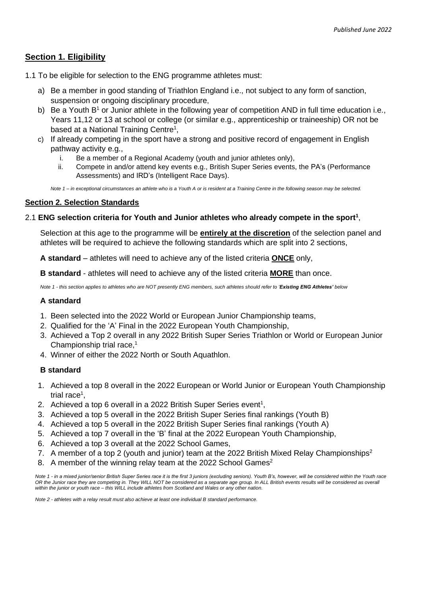# **Section 1. Eligibility**

- 1.1 To be eligible for selection to the ENG programme athletes must:
	- a) Be a member in good standing of Triathlon England i.e., not subject to any form of sanction, suspension or ongoing disciplinary procedure,
	- b) Be a Youth  $B<sup>1</sup>$  or Junior athlete in the following year of competition AND in full time education i.e., Years 11,12 or 13 at school or college (or similar e.g., apprenticeship or traineeship) OR not be based at a National Training Centre<sup>1</sup>,
	- c) If already competing in the sport have a strong and positive record of engagement in English pathway activity e.g.,
		- i. Be a member of a Regional Academy (youth and junior athletes only),
		- ii. Compete in and/or attend key events e.g., British Super Series events, the PA's (Performance Assessments) and IRD's (Intelligent Race Days).

*Note 1 – in exceptional circumstances an athlete who is a Youth A or is resident at a Training Centre in the following season may be selected.* 

# **Section 2. Selection Standards**

# 2.1 **ENG selection criteria for Youth and Junior athletes who already compete in the sport<sup>1</sup>** ,

Selection at this age to the programme will be **entirely at the discretion** of the selection panel and athletes will be required to achieve the following standards which are split into 2 sections,

**A standard** – athletes will need to achieve any of the listed criteria **ONCE** only,

**B standard** - athletes will need to achieve any of the listed criteria **MORE** than once.

*Note 1 - this section applies to athletes who are NOT presently ENG members, such athletes should refer to 'Existing ENG Athletes' below*

# **A standard**

- 1. Been selected into the 2022 World or European Junior Championship teams,
- 2. Qualified for the 'A' Final in the 2022 European Youth Championship,
- 3. Achieved a Top 2 overall in any 2022 British Super Series Triathlon or World or European Junior Championship trial race, 1
- 4. Winner of either the 2022 North or South Aquathlon.

# **B standard**

- 1. Achieved a top 8 overall in the 2022 European or World Junior or European Youth Championship trial race<sup>1</sup>,
- 2. Achieved a top 6 overall in a 2022 British Super Series event<sup>1</sup>,
- 3. Achieved a top 5 overall in the 2022 British Super Series final rankings (Youth B)
- 4. Achieved a top 5 overall in the 2022 British Super Series final rankings (Youth A)
- 5. Achieved a top 7 overall in the 'B' final at the 2022 European Youth Championship,
- 6. Achieved a top 3 overall at the 2022 School Games,
- 7. A member of a top 2 (youth and junior) team at the 2022 British Mixed Relay Championships<sup>2</sup>
- 8. A member of the winning relay team at the 2022 School Games<sup>2</sup>

*Note 1 - in a mixed junior/senior British Super Series race it is the first 3 juniors (excluding seniors). Youth B's, however, will be considered within the Youth race OR the Junior race they are competing in. They WILL NOT be considered as a separate age group. In ALL British events results will be considered as overall within the junior or youth race – this WILL include athletes from Scotland and Wales or any other nation.* 

*Note 2 - athletes with a relay result must also achieve at least one individual B standard performance.*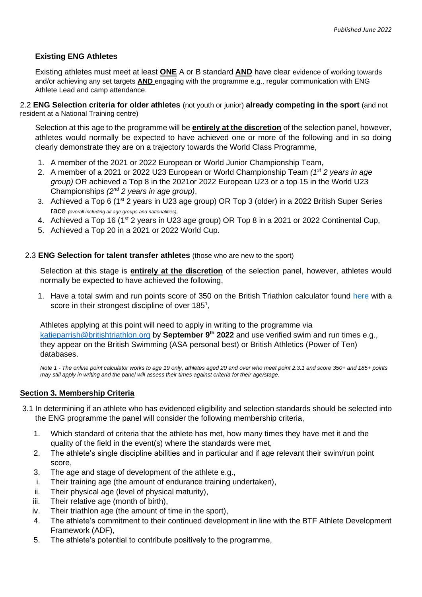# **Existing ENG Athletes**

Existing athletes must meet at least **ONE** A or B standard **AND** have clear evidence of working towards and/or achieving any set targets **AND** engaging with the programme e.g., regular communication with ENG Athlete Lead and camp attendance.

2.2 **ENG Selection criteria for older athletes** (not youth or junior) **already competing in the sport** (and not resident at a National Training centre)

Selection at this age to the programme will be **entirely at the discretion** of the selection panel, however, athletes would normally be expected to have achieved one or more of the following and in so doing clearly demonstrate they are on a trajectory towards the World Class Programme,

- 1. A member of the 2021 or 2022 European or World Junior Championship Team,
- 2. A member of a 2021 or 2022 U23 European or World Championship Team *(1st 2 years in age group)* OR achieved a Top 8 in the 2021or 2022 European U23 or a top 15 in the World U23 Championships *(2nd 2 years in age group)*,
- 3. Achieved a Top 6 (1<sup>st</sup> 2 years in U23 age group) OR Top 3 (older) in a 2022 British Super Series race *(overall including all age groups and nationalities),*
- 4. Achieved a Top 16 (1<sup>st</sup> 2 years in U23 age group) OR Top 8 in a 2021 or 2022 Continental Cup,
- 5. Achieved a Top 20 in a 2021 or 2022 World Cup.

## 2.3 **ENG Selection for talent transfer athletes** (those who are new to the sport)

Selection at this stage is **entirely at the discretion** of the selection panel, however, athletes would normally be expected to have achieved the following,

1. Have a total swim and run points score of 350 on the British Triathlon calculator found [here](https://www.britishtriathlon.org/gb-teams/talent/talent-identification) with a score in their strongest discipline of over 185<sup>1</sup>,

Athletes applying at this point will need to apply in writing to the programme via [katieparrish@britishtriathlon.org](mailto:katieparrish@britishtriathlon.org) by **September 9 th 2022** and use verified swim and run times e.g., they appear on the British Swimming (ASA personal best) or British Athletics (Power of Ten) databases.

*Note 1 - The online point calculator works to age 19 only, athletes aged 20 and over who meet point 2.3.1 and score 350+ and 185+ points may still apply in writing and the panel will assess their times against criteria for their age/stage.* 

# **Section 3. Membership Criteria**

- 3.1 In determining if an athlete who has evidenced eligibility and selection standards should be selected into the ENG programme the panel will consider the following membership criteria,
	- 1. Which standard of criteria that the athlete has met, how many times they have met it and the quality of the field in the event(s) where the standards were met,
	- 2. The athlete's single discipline abilities and in particular and if age relevant their swim/run point score,
	- 3. The age and stage of development of the athlete e.g.,
	- i. Their training age (the amount of endurance training undertaken),
	- ii. Their physical age (level of physical maturity),
	- iii. Their relative age (month of birth),
	- iv. Their triathlon age (the amount of time in the sport),
	- 4. The athlete's commitment to their continued development in line with the BTF Athlete Development Framework (ADF),
	- 5. The athlete's potential to contribute positively to the programme,